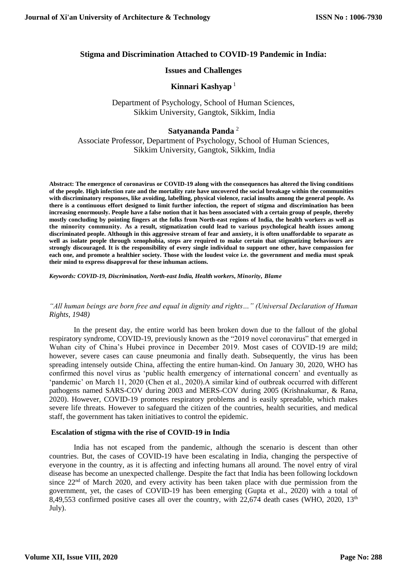# **Stigma and Discrimination Attached to COVID-19 Pandemic in India:**

### **Issues and Challenges**

# Kinnari Kashyap<sup>1</sup>

## Department of Psychology, School of Human Sciences, Sikkim University, Gangtok, Sikkim, India

## **Satyananda Panda** <sup>2</sup>

Associate Professor, Department of Psychology, School of Human Sciences, Sikkim University, Gangtok, Sikkim, India

**Abstract: The emergence of coronavirus or COVID-19 along with the consequences has altered the living conditions of the people. High infection rate and the mortality rate have uncovered the social breakage within the communities with discriminatory responses, like avoiding, labelling, physical violence, racial insults among the general people. As there is a continuous effort designed to limit further infection, the report of stigma and discrimination has been increasing enormously. People have a false notion that it has been associated with a certain group of people, thereby mostly concluding by pointing fingers at the folks from North-east regions of India, the health workers as well as the minority community. As a result, stigmatization could lead to various psychological health issues among discriminated people. Although in this aggressive stream of fear and anxiety, it is often unaffordable to separate as well as isolate people through xenophobia, steps are required to make certain that stigmatizing behaviours are strongly discouraged. It is the responsibility of every single individual to support one other, have compassion for each one, and promote a healthier society. Those with the loudest voice i.e. the government and media must speak their mind to express disapproval for these inhuman actions.**

*Keywords: COVID-19, Discrimination, North-east India, Health workers***,** *Minority, Blame*

### *"All human beings are born free and equal in dignity and rights…" (Universal Declaration of Human Rights, 1948)*

In the present day, the entire world has been broken down due to the fallout of the global respiratory syndrome, COVID-19, previously known as the "2019 novel coronavirus" that emerged in Wuhan city of China's Hubei province in December 2019. Most cases of COVID-19 are mild; however, severe cases can cause pneumonia and finally death. Subsequently, the virus has been spreading intensely outside China, affecting the entire human-kind. On January 30, 2020, WHO has confirmed this novel virus as 'public health emergency of international concern' and eventually as 'pandemic' on March 11, 2020 (Chen et al., 2020).A similar kind of outbreak occurred with different pathogens named SARS-COV during 2003 and MERS-COV during 2005 (Krishnakumar, & Rana, 2020). However, COVID-19 promotes respiratory problems and is easily spreadable, which makes severe life threats. However to safeguard the citizen of the countries, health securities, and medical staff, the government has taken initiatives to control the epidemic.

### **Escalation of stigma with the rise of COVID-19 in India**

India has not escaped from the pandemic, although the scenario is descent than other countries. But, the cases of COVID-19 have been escalating in India, changing the perspective of everyone in the country, as it is affecting and infecting humans all around. The novel entry of viral disease has become an unexpected challenge. Despite the fact that India has been following lockdown since  $22<sup>nd</sup>$  of March 2020, and every activity has been taken place with due permission from the government, yet, the cases of COVID-19 has been emerging (Gupta et al., 2020) with a total of 8,49,553 confirmed positive cases all over the country, with  $22,674$  death cases (WHO, 2020, 13<sup>th</sup> July).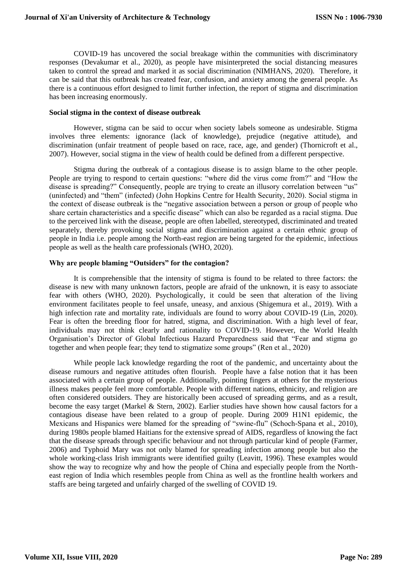COVID-19 has uncovered the social breakage within the communities with discriminatory responses (Devakumar et al., 2020), as people have misinterpreted the social distancing measures taken to control the spread and marked it as social discrimination (NIMHANS, 2020). Therefore, it can be said that this outbreak has created fear, confusion, and anxiety among the general people. As there is a continuous effort designed to limit further infection, the report of stigma and discrimination has been increasing enormously.

#### **Social stigma in the context of disease outbreak**

However, stigma can be said to occur when society labels someone as undesirable. Stigma involves three elements: ignorance (lack of knowledge), prejudice (negative attitude), and discrimination (unfair treatment of people based on race, race, age, and gender) (Thornicroft et al., 2007). However, social stigma in the view of health could be defined from a different perspective.

Stigma during the outbreak of a contagious disease is to assign blame to the other people. People are trying to respond to certain questions: "where did the virus come from?" and "How the disease is spreading?" Consequently, people are trying to create an illusory correlation between "us" (uninfected) and "them" (infected) (John Hopkins Centre for Health Security, 2020). Social stigma in the context of disease outbreak is the "negative association between a person or group of people who share certain characteristics and a specific disease" which can also be regarded as a racial stigma. Due to the perceived link with the disease, people are often labelled, stereotyped, discriminated and treated separately, thereby provoking social stigma and discrimination against a certain ethnic group of people in India i.e. people among the North-east region are being targeted for the epidemic, infectious people as well as the health care professionals (WHO, 2020).

#### **Why are people blaming "Outsiders" for the contagion?**

It is comprehensible that the intensity of stigma is found to be related to three factors: the disease is new with many unknown factors, people are afraid of the unknown, it is easy to associate fear with others (WHO, 2020). Psychologically, it could be seen that alteration of the living environment facilitates people to feel unsafe, uneasy, and anxious (Shigemura et al., 2019). With a high infection rate and mortality rate, individuals are found to worry about COVID-19 (Lin, 2020). Fear is often the breeding floor for hatred, stigma, and discrimination. With a high level of fear, individuals may not think clearly and rationality to COVID-19. However, the World Health Organisation's Director of Global Infectious Hazard Preparedness said that "Fear and stigma go together and when people fear; they tend to stigmatize some groups" (Ren et al., 2020)

While people lack knowledge regarding the root of the pandemic, and uncertainty about the disease rumours and negative attitudes often flourish. People have a false notion that it has been associated with a certain group of people. Additionally, pointing fingers at others for the mysterious illness makes people feel more comfortable. People with different nations, ethnicity, and religion are often considered outsiders. They are historically been accused of spreading germs, and as a result, become the easy target (Markel & Stern, 2002). Earlier studies have shown how causal factors for a contagious disease have been related to a group of people. During 2009 H1N1 epidemic, the Mexicans and Hispanics were blamed for the spreading of "swine-flu" (Schoch-Spana et al., 2010), during 1980s people blamed Haitians for the extensive spread of AIDS, regardless of knowing the fact that the disease spreads through specific behaviour and not through particular kind of people (Farmer, 2006) and Typhoid Mary was not only blamed for spreading infection among people but also the whole working-class Irish immigrants were identified guilty (Leavitt, 1996). These examples would show the way to recognize why and how the people of China and especially people from the Northeast region of India which resembles people from China as well as the frontline health workers and staffs are being targeted and unfairly charged of the swelling of COVID 19.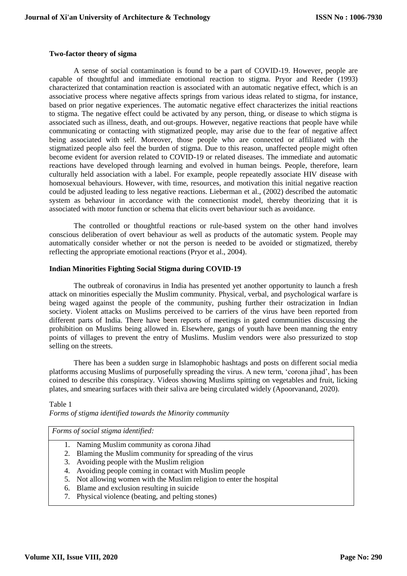#### **Two-factor theory of sigma**

A sense of social contamination is found to be a part of COVID-19. However, people are capable of thoughtful and immediate emotional reaction to stigma. Pryor and Reeder (1993) characterized that contamination reaction is associated with an automatic negative effect, which is an associative process where negative affects springs from various ideas related to stigma, for instance, based on prior negative experiences. The automatic negative effect characterizes the initial reactions to stigma. The negative effect could be activated by any person, thing, or disease to which stigma is associated such as illness, death, and out-groups. However, negative reactions that people have while communicating or contacting with stigmatized people, may arise due to the fear of negative affect being associated with self. Moreover, those people who are connected or affiliated with the stigmatized people also feel the burden of stigma. Due to this reason, unaffected people might often become evident for aversion related to COVID-19 or related diseases. The immediate and automatic reactions have developed through learning and evolved in human beings. People, therefore, learn culturally held association with a label. For example, people repeatedly associate HIV disease with homosexual behaviours. However, with time, resources, and motivation this initial negative reaction could be adjusted leading to less negative reactions. Lieberman et al., (2002) described the automatic system as behaviour in accordance with the connectionist model, thereby theorizing that it is associated with motor function or schema that elicits overt behaviour such as avoidance.

The controlled or thoughtful reactions or rule-based system on the other hand involves conscious deliberation of overt behaviour as well as products of the automatic system. People may automatically consider whether or not the person is needed to be avoided or stigmatized, thereby reflecting the appropriate emotional reactions (Pryor et al., 2004).

#### **Indian Minorities Fighting Social Stigma during COVID-19**

The outbreak of coronavirus in India has presented yet another opportunity to launch a fresh attack on minorities especially the Muslim community. Physical, verbal, and psychological warfare is being waged against the people of the community, pushing further their ostracization in Indian society. Violent attacks on Muslims perceived to be carriers of the virus have been reported from different parts of India. There have been reports of meetings in gated communities discussing the prohibition on Muslims being allowed in. Elsewhere, gangs of youth have been manning the entry points of villages to prevent the entry of Muslims. Muslim vendors were also pressurized to stop selling on the streets.

There has been a sudden surge in Islamophobic hashtags and posts on different social media platforms accusing Muslims of purposefully spreading the virus. A new term, 'corona jihad', has been coined to describe this conspiracy. Videos showing Muslims spitting on vegetables and fruit, licking plates, and smearing surfaces with their saliva are being circulated widely (Apoorvanand, 2020).

Table 1 *Forms of stigma identified towards the Minority community*

*Forms of social stigma identified:*

- 1. Naming Muslim community as corona Jihad
- 2. Blaming the Muslim community for spreading of the virus
- 3. Avoiding people with the Muslim religion
- 4. Avoiding people coming in contact with Muslim people
- 5. Not allowing women with the Muslim religion to enter the hospital
- 6. Blame and exclusion resulting in suicide
- 7. Physical violence (beating, and pelting stones)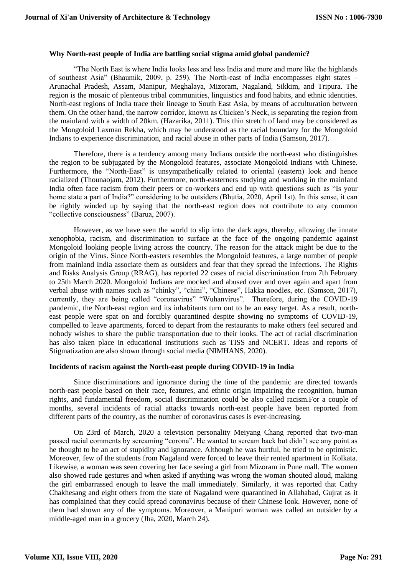#### **Why North-east people of India are battling social stigma amid global pandemic?**

"The North East is where India looks less and less India and more and more like the highlands of southeast Asia" (Bhaumik, 2009, p. 259). The North-east of India encompasses eight states – Arunachal Pradesh, Assam, Manipur, Meghalaya, Mizoram, Nagaland, Sikkim, and Tripura. The region is the mosaic of plenteous tribal communities, linguistics and food habits, and ethnic identities. North-east regions of India trace their lineage to South East Asia, by means of acculturation between them. On the other hand, the narrow corridor, known as Chicken's Neck, is separating the region from the mainland with a width of 20km. (Hazarika, 2011). This thin stretch of land may be considered as the Mongoloid Laxman Rekha, which may be understood as the racial boundary for the Mongoloid Indians to experience discrimination, and racial abuse in other parts of India (Samson, 2017).

Therefore, there is a tendency among many Indians outside the north-east who distinguishes the region to be subjugated by the Mongoloid features, associate Mongoloid Indians with Chinese. Furthermore, the "North-East" is unsympathetically related to oriental (eastern) look and hence racialized (Thounaojam, 2012). Furthermore, north-easterners studying and working in the mainland India often face racism from their peers or co-workers and end up with questions such as "Is your home state a part of India?" considering to be outsiders (Bhutia, 2020, April 1st). In this sense, it can be rightly winded up by saying that the north-east region does not contribute to any common "collective consciousness" (Barua, 2007).

However, as we have seen the world to slip into the dark ages, thereby, allowing the innate xenophobia, racism, and discrimination to surface at the face of the ongoing pandemic against Mongoloid looking people living across the country. The reason for the attack might be due to the origin of the Virus. Since North-easters resembles the Mongoloid features, a large number of people from mainland India associate them as outsiders and fear that they spread the infections. The Rights and Risks Analysis Group (RRAG), has reported 22 cases of racial discrimination from 7th February to 25th March 2020. Mongoloid Indians are mocked and abused over and over again and apart from verbal abuse with names such as "chinky", "chini", "Chinese", Hakka noodles, etc. (Samson, 2017), currently, they are being called "coronavirus" "Wuhanvirus". Therefore, during the COVID-19 pandemic, the North-east region and its inhabitants turn out to be an easy target. As a result, northeast people were spat on and forcibly quarantined despite showing no symptoms of COVID-19, compelled to leave apartments, forced to depart from the restaurants to make others feel secured and nobody wishes to share the public transportation due to their looks. The act of racial discrimination has also taken place in educational institutions such as TISS and NCERT. Ideas and reports of Stigmatization are also shown through social media (NIMHANS, 2020).

#### **Incidents of racism against the North-east people during COVID-19 in India**

Since discriminations and ignorance during the time of the pandemic are directed towards north-east people based on their race, features, and ethnic origin impairing the recognition, human rights, and fundamental freedom, social discrimination could be also called racism.For a couple of months, several incidents of racial attacks towards north-east people have been reported from different parts of the country, as the number of coronavirus cases is ever-increasing.

On 23rd of March, 2020 a television personality Meiyang Chang reported that two-man passed racial comments by screaming "corona". He wanted to scream back but didn't see any point as he thought to be an act of stupidity and ignorance. Although he was hurtful, he tried to be optimistic. Moreover, few of the students from Nagaland were forced to leave their rented apartment in Kolkata. Likewise, a woman was seen covering her face seeing a girl from Mizoram in Pune mall. The women also showed rude gestures and when asked if anything was wrong the woman shouted aloud, making the girl embarrassed enough to leave the mall immediately. Similarly, it was reported that Cathy Chakhesang and eight others from the state of Nagaland were quarantined in Allahabad, Gujrat as it has complained that they could spread coronavirus because of their Chinese look. However, none of them had shown any of the symptoms. Moreover, a Manipuri woman was called an outsider by a middle-aged man in a grocery (Jha, 2020, March 24).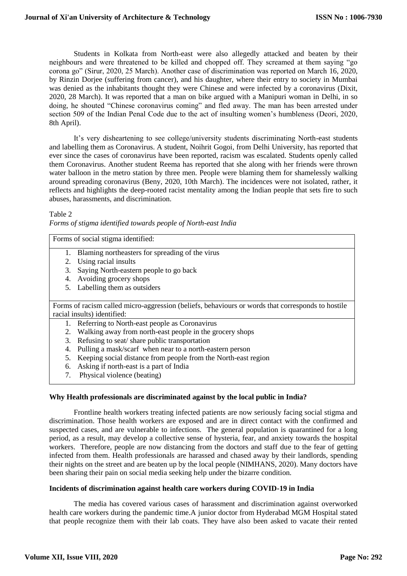Students in Kolkata from North-east were also allegedly attacked and beaten by their neighbours and were threatened to be killed and chopped off. They screamed at them saying "go corona go" (Sirur, 2020, 25 March). Another case of discrimination was reported on March 16, 2020, by Rinzin Dorjee (suffering from cancer), and his daughter, where their entry to society in Mumbai was denied as the inhabitants thought they were Chinese and were infected by a coronavirus (Dixit, 2020, 28 March). It was reported that a man on bike argued with a Manipuri woman in Delhi, in so doing, he shouted "Chinese coronavirus coming" and fled away. The man has been arrested under section 509 of the Indian Penal Code due to the act of insulting women's humbleness (Deori, 2020, 8th April).

It's very disheartening to see college/university students discriminating North-east students and labelling them as Coronavirus. A student, Noihrit Gogoi, from Delhi University, has reported that ever since the cases of coronavirus have been reported, racism was escalated. Students openly called them Coronavirus. Another student Reema has reported that she along with her friends were thrown water balloon in the metro station by three men. People were blaming them for shamelessly walking around spreading coronavirus (Beny, 2020, 10th March). The incidences were not isolated, rather, it reflects and highlights the deep-rooted racist mentality among the Indian people that sets fire to such abuses, harassments, and discrimination.

#### Table 2

|  |  | Forms of stigma identified towards people of North-east India |  |
|--|--|---------------------------------------------------------------|--|
|  |  |                                                               |  |

Forms of social stigma identified:

- 1. Blaming northeasters for spreading of the virus
- 2. Using racial insults
- 3. Saying North-eastern people to go back
- 4. Avoiding grocery shops
- 5. Labelling them as outsiders

Forms of racism called micro-aggression (beliefs, behaviours or words that corresponds to hostile racial insults) identified:

- 1. Referring to North-east people as Coronavirus
- 2. Walking away from north-east people in the grocery shops
- 3. Refusing to seat/ share public transportation
- 4. Pulling a mask/scarf when near to a north-eastern person
- 5. Keeping social distance from people from the North-east region
- 6. Asking if north-east is a part of India
- 7. Physical violence (beating)

### **Why Health professionals are discriminated against by the local public in India?**

Frontline health workers treating infected patients are now seriously facing social stigma and discrimination. Those health workers are exposed and are in direct contact with the confirmed and suspected cases, and are vulnerable to infections. The general population is quarantined for a long period, as a result, may develop a collective sense of hysteria, fear, and anxiety towards the hospital workers. Therefore, people are now distancing from the doctors and staff due to the fear of getting infected from them. Health professionals are harassed and chased away by their landlords, spending their nights on the street and are beaten up by the local people (NIMHANS, 2020). Many doctors have been sharing their pain on social media seeking help under the bizarre condition.

#### **Incidents of discrimination against health care workers during COVID-19 in India**

The media has covered various cases of harassment and discrimination against overworked health care workers during the pandemic time.A junior doctor from Hyderabad MGM Hospital stated that people recognize them with their lab coats. They have also been asked to vacate their rented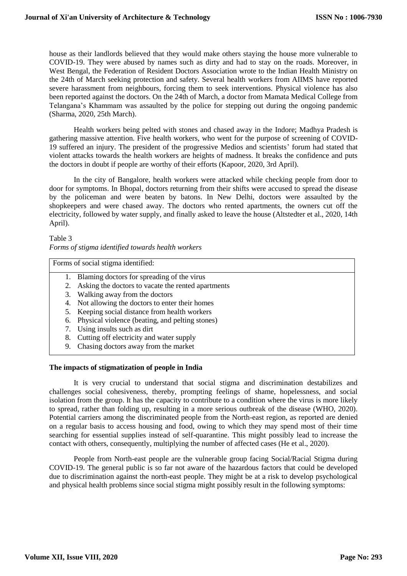house as their landlords believed that they would make others staying the house more vulnerable to COVID-19. They were abused by names such as dirty and had to stay on the roads. Moreover, in West Bengal, the Federation of Resident Doctors Association wrote to the Indian Health Ministry on the 24th of March seeking protection and safety. Several health workers from AIIMS have reported severe harassment from neighbours, forcing them to seek interventions. Physical violence has also been reported against the doctors. On the 24th of March, a doctor from Mamata Medical College from Telangana's Khammam was assaulted by the police for stepping out during the ongoing pandemic (Sharma, 2020, 25th March).

Health workers being pelted with stones and chased away in the Indore; Madhya Pradesh is gathering massive attention. Five health workers, who went for the purpose of screening of COVID-19 suffered an injury. The president of the progressive Medios and scientists' forum had stated that violent attacks towards the health workers are heights of madness. It breaks the confidence and puts the doctors in doubt if people are worthy of their efforts (Kapoor, 2020, 3rd April).

In the city of Bangalore, health workers were attacked while checking people from door to door for symptoms. In Bhopal, doctors returning from their shifts were accused to spread the disease by the policeman and were beaten by batons. In New Delhi, doctors were assaulted by the shopkeepers and were chased away. The doctors who rented apartments, the owners cut off the electricity, followed by water supply, and finally asked to leave the house (Altstedter et al., 2020, 14th April).

# Table 3 *Forms of stigma identified towards health workers*

Forms of social stigma identified:

- 1. Blaming doctors for spreading of the virus
- 2. Asking the doctors to vacate the rented apartments
- 3. Walking away from the doctors
- 4. Not allowing the doctors to enter their homes
- 5. Keeping social distance from health workers
- 6. Physical violence (beating, and pelting stones)
- 7. Using insults such as dirt
- 8. Cutting off electricity and water supply
- 9. Chasing doctors away from the market

### **The impacts of stigmatization of people in India**

It is very crucial to understand that social stigma and discrimination destabilizes and challenges social cohesiveness, thereby, prompting feelings of shame, hopelessness, and social isolation from the group. It has the capacity to contribute to a condition where the virus is more likely to spread, rather than folding up, resulting in a more serious outbreak of the disease (WHO, 2020). Potential carriers among the discriminated people from the North-east region, as reported are denied on a regular basis to access housing and food, owing to which they may spend most of their time searching for essential supplies instead of self-quarantine. This might possibly lead to increase the contact with others, consequently, multiplying the number of affected cases (He et al., 2020).

People from North-east people are the vulnerable group facing Social/Racial Stigma during COVID-19. The general public is so far not aware of the hazardous factors that could be developed due to discrimination against the north-east people. They might be at a risk to develop psychological and physical health problems since social stigma might possibly result in the following symptoms: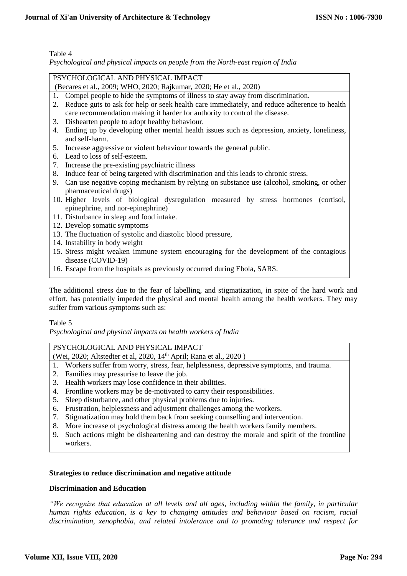# Table 4

*Psychological and physical impacts on people from the North-east region of India*

| PSYCHOLOGICAL AND PHYSICAL IMPACT                                                                 |  |  |  |  |  |
|---------------------------------------------------------------------------------------------------|--|--|--|--|--|
| (Becares et al., 2009; WHO, 2020; Rajkumar, 2020; He et al., 2020)                                |  |  |  |  |  |
| Compel people to hide the symptoms of illness to stay away from discrimination.<br>1.             |  |  |  |  |  |
| Reduce guts to ask for help or seek health care immediately, and reduce adherence to health<br>2. |  |  |  |  |  |
| care recommendation making it harder for authority to control the disease.                        |  |  |  |  |  |
| Dishearten people to adopt healthy behaviour.<br>3.                                               |  |  |  |  |  |
| Ending up by developing other mental health issues such as depression, anxiety, loneliness,<br>4. |  |  |  |  |  |
| and self-harm.                                                                                    |  |  |  |  |  |
| Increase aggressive or violent behaviour towards the general public.<br>5.                        |  |  |  |  |  |
| 6. Lead to loss of self-esteem.                                                                   |  |  |  |  |  |
| Increase the pre-existing psychiatric illness<br>7.                                               |  |  |  |  |  |
| Induce fear of being targeted with discrimination and this leads to chronic stress.<br>8.         |  |  |  |  |  |
| 9. Can use negative coping mechanism by relying on substance use (alcohol, smoking, or other      |  |  |  |  |  |
| pharmaceutical drugs)                                                                             |  |  |  |  |  |
| 10. Higher levels of biological dysregulation measured by stress hormones (cortisol,              |  |  |  |  |  |
| epinephrine, and nor-epinephrine)                                                                 |  |  |  |  |  |
| 11. Disturbance in sleep and food intake.                                                         |  |  |  |  |  |
| 12. Develop somatic symptoms                                                                      |  |  |  |  |  |
| 13. The fluctuation of systolic and diastolic blood pressure,                                     |  |  |  |  |  |
| 14. Instability in body weight                                                                    |  |  |  |  |  |
| 15. Stress might weaken immune system encouraging for the development of the contagious           |  |  |  |  |  |
| disease (COVID-19)                                                                                |  |  |  |  |  |
| 16. Escape from the hospitals as previously occurred during Ebola, SARS.                          |  |  |  |  |  |
|                                                                                                   |  |  |  |  |  |

The additional stress due to the fear of labelling, and stigmatization, in spite of the hard work and effort, has potentially impeded the physical and mental health among the health workers. They may suffer from various symptoms such as:

### Table 5

*Psychological and physical impacts on health workers of India*

### PSYCHOLOGICAL AND PHYSICAL IMPACT

- (Wei, 2020; Altstedter et al, 2020, 14<sup>th</sup> April; Rana et al., 2020)
- 1. Workers suffer from worry, stress, fear, helplessness, depressive symptoms, and trauma.
- 2. Families may pressurise to leave the job.
- 3. Health workers may lose confidence in their abilities.
- 4. Frontline workers may be de-motivated to carry their responsibilities.
- 5. Sleep disturbance, and other physical problems due to injuries.
- 6. Frustration, helplessness and adjustment challenges among the workers.
- 7. Stigmatization may hold them back from seeking counselling and intervention.
- 8. More increase of psychological distress among the health workers family members.
- 9. Such actions might be disheartening and can destroy the morale and spirit of the frontline workers.

### **Strategies to reduce discrimination and negative attitude**

#### **Discrimination and Education**

*"We recognize that education at all levels and all ages, including within the family, in particular human rights education, is a key to changing attitudes and behaviour based on racism, racial discrimination, xenophobia, and related intolerance and to promoting tolerance and respect for*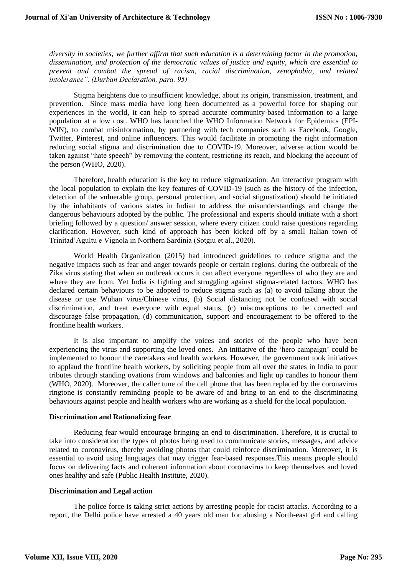*diversity in societies; we further affirm that such education is a determining factor in the promotion, dissemination, and protection of the democratic values of justice and equity, which are essential to prevent and combat the spread of racism, racial discrimination, xenophobia, and related intolerance". (Durban Declaration, para. 95)*

Stigma heightens due to insufficient knowledge, about its origin, transmission, treatment, and prevention. Since mass media have long been documented as a powerful force for shaping our experiences in the world, it can help to spread accurate community-based information to a large population at a low cost. WHO has launched the WHO Information Network for Epidemics (EPI-WIN), to combat misinformation, by partnering with tech companies such as Facebook, Google, Twitter, Pinterest, and online influencers. This would facilitate in promoting the right information reducing social stigma and discrimination due to COVID-19. Moreover, adverse action would be taken against "hate speech" by removing the content, restricting its reach, and blocking the account of the person (WHO, 2020).

Therefore, health education is the key to reduce stigmatization. An interactive program with the local population to explain the key features of COVID-19 (such as the history of the infection, detection of the vulnerable group, personal protection, and social stigmatization) should be initiated by the inhabitants of various states in Indian to address the misunderstandings and change the dangerous behaviours adopted by the public. The professional and experts should initiate with a short briefing followed by a question/ answer session, where every citizen could raise questions regarding clarification. However, such kind of approach has been kicked off by a small Italian town of Trinitad'Agultu e Vignola in Northern Sardinia (Sotgiu et al., 2020).

World Health Organization (2015) had introduced guidelines to reduce stigma and the negative impacts such as fear and anger towards people or certain regions, during the outbreak of the Zika virus stating that when an outbreak occurs it can affect everyone regardless of who they are and where they are from. Yet India is fighting and struggling against stigma-related factors. WHO has declared certain behaviours to be adopted to reduce stigma such as (a) to avoid talking about the disease or use Wuhan virus/Chinese virus, (b) Social distancing not be confused with social discrimination, and treat everyone with equal status, (c) misconceptions to be corrected and discourage false propagation, (d) communication, support and encouragement to be offered to the frontline health workers.

It is also important to amplify the voices and stories of the people who have been experiencing the virus and supporting the loved ones. An initiative of the 'hero campaign' could be implemented to honour the caretakers and health workers. However, the government took initiatives to applaud the frontline health workers, by soliciting people from all over the states in India to pour tributes through standing ovations from windows and balconies and light up candles to honour them (WHO, 2020). Moreover, the caller tune of the cell phone that has been replaced by the coronavirus ringtone is constantly reminding people to be aware of and bring to an end to the discriminating behaviours against people and health workers who are working as a shield for the local population.

#### **Discrimination and Rationalizing fear**

Reducing fear would encourage bringing an end to discrimination. Therefore, it is crucial to take into consideration the types of photos being used to communicate stories, messages, and advice related to coronavirus, thereby avoiding photos that could reinforce discrimination. Moreover, it is essential to avoid using languages that may trigger fear-based responses.This means people should focus on delivering facts and coherent information about coronavirus to keep themselves and loved ones healthy and safe (Public Health Institute, 2020).

#### **Discrimination and Legal action**

The police force is taking strict actions by arresting people for racist attacks. According to a report, the Delhi police have arrested a 40 years old man for abusing a North-east girl and calling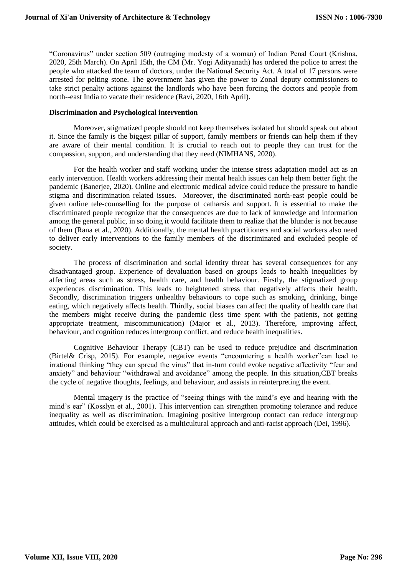"Coronavirus" under section 509 (outraging modesty of a woman) of Indian Penal Court (Krishna, 2020, 25th March). On April 15th, the CM (Mr. Yogi Adityanath) has ordered the police to arrest the people who attacked the team of doctors, under the National Security Act. A total of 17 persons were arrested for pelting stone. The government has given the power to Zonal deputy commissioners to take strict penalty actions against the landlords who have been forcing the doctors and people from north--east India to vacate their residence (Ravi, 2020, 16th April).

#### **Discrimination and Psychological intervention**

Moreover, stigmatized people should not keep themselves isolated but should speak out about it. Since the family is the biggest pillar of support, family members or friends can help them if they are aware of their mental condition. It is crucial to reach out to people they can trust for the compassion, support, and understanding that they need (NIMHANS, 2020).

For the health worker and staff working under the intense stress adaptation model act as an early intervention. Health workers addressing their mental health issues can help them better fight the pandemic (Banerjee, 2020). Online and electronic medical advice could reduce the pressure to handle stigma and discrimination related issues. Moreover, the discriminated north-east people could be given online tele-counselling for the purpose of catharsis and support. It is essential to make the discriminated people recognize that the consequences are due to lack of knowledge and information among the general public, in so doing it would facilitate them to realize that the blunder is not because of them (Rana et al., 2020). Additionally, the mental health practitioners and social workers also need to deliver early interventions to the family members of the discriminated and excluded people of society.

The process of discrimination and social identity threat has several consequences for any disadvantaged group. Experience of devaluation based on groups leads to health inequalities by affecting areas such as stress, health care, and health behaviour. Firstly, the stigmatized group experiences discrimination. This leads to heightened stress that negatively affects their health. Secondly, discrimination triggers unhealthy behaviours to cope such as smoking, drinking, binge eating, which negatively affects health. Thirdly, social biases can affect the quality of health care that the members might receive during the pandemic (less time spent with the patients, not getting appropriate treatment, miscommunication) (Major et al., 2013). Therefore, improving affect, behaviour, and cognition reduces intergroup conflict, and reduce health inequalities.

Cognitive Behaviour Therapy (CBT) can be used to reduce prejudice and discrimination (Birtel& Crisp, 2015). For example, negative events "encountering a health worker"can lead to irrational thinking "they can spread the virus" that in-turn could evoke negative affectivity "fear and anxiety" and behaviour "withdrawal and avoidance" among the people. In this situation,CBT breaks the cycle of negative thoughts, feelings, and behaviour, and assists in reinterpreting the event.

Mental imagery is the practice of "seeing things with the mind's eye and hearing with the mind's ear" (Kosslyn et al., 2001). This intervention can strengthen promoting tolerance and reduce inequality as well as discrimination. Imagining positive intergroup contact can reduce intergroup attitudes, which could be exercised as a multicultural approach and anti-racist approach (Dei, 1996).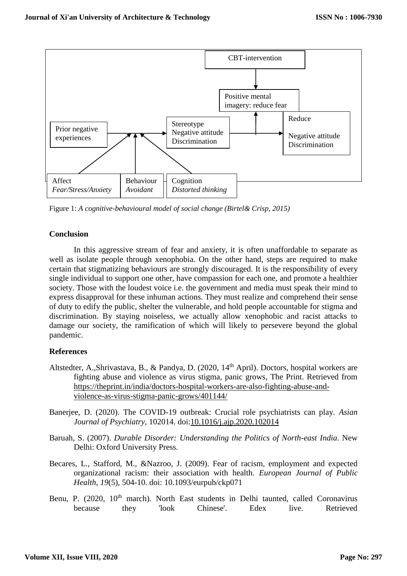

Figure 1: *A cognitive-behavioural model of social change (Birtel& Crisp, 2015)*

# **Conclusion**

In this aggressive stream of fear and anxiety, it is often unaffordable to separate as well as isolate people through xenophobia. On the other hand, steps are required to make certain that stigmatizing behaviours are strongly discouraged. It is the responsibility of every single individual to support one other, have compassion for each one, and promote a healthier society. Those with the loudest voice i.e. the government and media must speak their mind to express disapproval for these inhuman actions. They must realize and comprehend their sense of duty to edify the public, shelter the vulnerable, and hold people accountable for stigma and discrimination. By staying noiseless, we actually allow xenophobic and racist attacks to damage our society, the ramification of which will likely to persevere beyond the global pandemic.

# **References**

- Altstedter, A.,Shrivastava, B., & Pandya, D. (2020, 14<sup>th</sup> April). Doctors, hospital workers are fighting abuse and violence as virus stigma, panic grows, The Print. Retrieved from [https://theprint.in/india/doctors-hospital-workers-are-also-fighting-abuse-and](https://theprint.in/india/doctors-hospital-workers-are-also-fighting-abuse-and-violence-as-virus-stigma-panic-grows/401144/)[violence-as-virus-stigma-panic-grows/401144/](https://theprint.in/india/doctors-hospital-workers-are-also-fighting-abuse-and-violence-as-virus-stigma-panic-grows/401144/)
- Banerjee, D. (2020). The COVID-19 outbreak: Crucial role psychiatrists can play. *Asian Journal of Psychiatry,* 102014. doi[:10.1016/j.ajp.2020.102014](https://doi.org/10.1016/j.ajp.2020.102014)
- Baruah, S. (2007). *Durable Disorder: Understanding the Politics of North-east India*. New Delhi: Oxford University Press.
- Becares, L., Stafford, M., &Nazroo, J. (2009). Fear of racism, employment and expected organizational racism: their association with health. *European Journal of Public Health, 19*(5), 504-10. doi: 10.1093/eurpub/ckp071
- Benu, P. (2020, 10<sup>th</sup> march). North East students in Delhi taunted, called Coronavirus because they 'look Chinese'. Edex live. Retrieved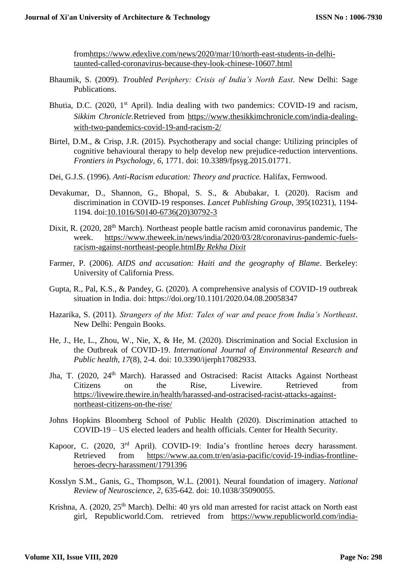fro[mhttps://www.edexlive.com/news/2020/mar/10/north-east-students-in-delhi](https://www.edexlive.com/news/2020/mar/10/north-east-students-in-delhi-taunted-called-coronavirus-because-they-look-chinese-10607.html)[taunted-called-coronavirus-because-they-look-chinese-10607.html](https://www.edexlive.com/news/2020/mar/10/north-east-students-in-delhi-taunted-called-coronavirus-because-they-look-chinese-10607.html)

- Bhaumik, S. (2009). *Troubled Periphery: Crisis of India's North East*. New Delhi: Sage Publications.
- Bhutia, D.C. (2020,  $1<sup>st</sup>$  April). India dealing with two pandemics: COVID-19 and racism, *Sikkim Chronicle.*Retrieved from [https://www.thesikkimchronicle.com/india-dealing](https://www.thesikkimchronicle.com/india-dealing-with-two-pandemics-covid-19-and-racism-2/)[with-two-pandemics-covid-19-and-racism-2/](https://www.thesikkimchronicle.com/india-dealing-with-two-pandemics-covid-19-and-racism-2/)
- Birtel, D.M., & Crisp, J.R. (2015). Psychotherapy and social change: Utilizing principles of cognitive behavioural therapy to help develop new prejudice-reduction interventions. *Frontiers in Psychology, 6*, 1771. doi: 10.3389/fpsyg.2015.01771.
- Dei, G.J.S. (1996). *Anti-Racism education: Theory and practice.* Halifax, Fernwood.
- Devakumar, D., Shannon, G., Bhopal, S. S., & Abubakar, I. (2020). Racism and discrimination in COVID-19 responses. *Lancet Publishing Group*, 395(10231), 1194- 1194. doi[:10.1016/S0140-6736\(20\)30792-3](https://doi.org/10.1016/S0140-6736(20)30792-3)
- Dixit. R. (2020, 28<sup>th</sup> March). Northeast people battle racism amid coronavirus pandemic, The week. [https://www.theweek.in/news/india/2020/03/28/coronavirus-pandemic-fuels](https://www.theweek.in/news/india/2020/03/28/coronavirus-pandemic-fuels-racism-against-northeast-people.html)[racism-against-northeast-people.html](https://www.theweek.in/news/india/2020/03/28/coronavirus-pandemic-fuels-racism-against-northeast-people.html)*[By Rekha Dixit](https://www.theweek.in/authors.Rekha.html)*
- Farmer, P. (2006). *AIDS and accusation: Haiti and the geography of Blame*. Berkeley: University of California Press.
- Gupta, R., Pal, K.S., & Pandey, G. (2020). A comprehensive analysis of COVID-19 outbreak situation in India. doi: https://doi.org/10.1101/2020.04.08.20058347
- Hazarika, S. (2011). *Strangers of the Mist: Tales of war and peace from India's Northeast*. New Delhi: Penguin Books.
- He, J., He, L., Zhou, W., Nie, X, & He, M. (2020). Discrimination and Social Exclusion in the Outbreak of COVID-19. *International Journal of Environmental Research and Public health, 17*(8), 2-4. doi: 10.3390/ijerph17082933.
- Jha, T. (2020, 24<sup>th</sup> March). Harassed and Ostracised: Racist Attacks Against Northeast Citizens on the Rise, Livewire. Retrieved from [https://livewire.thewire.in/health/harassed-and-ostracised-racist-attacks-against](https://livewire.thewire.in/health/harassed-and-ostracised-racist-attacks-against-northeast-citizens-on-the-rise/)[northeast-citizens-on-the-rise/](https://livewire.thewire.in/health/harassed-and-ostracised-racist-attacks-against-northeast-citizens-on-the-rise/)
- Johns Hopkins Bloomberg School of Public Health (2020). Discrimination attached to COVID-19 – US elected leaders and health officials. Center for Health Security.
- Kapoor, C. (2020, 3rd April). COVID-19: India's frontline heroes decry harassment. Retrieved from [https://www.aa.com.tr/en/asia-pacific/covid-19-indias-frontline](https://www.aa.com.tr/en/asia-pacific/covid-19-indias-frontline-heroes-decry-harassment/1791396)[heroes-decry-harassment/1791396](https://www.aa.com.tr/en/asia-pacific/covid-19-indias-frontline-heroes-decry-harassment/1791396)
- Kosslyn S.M., Ganis, G., Thompson, W.L. (2001). Neural foundation of imagery. *National Review of Neuroscience, 2*, 635-642. doi: 10.1038/35090055.
- Krishna, A. (2020, 25<sup>th</sup> March). Delhi: 40 yrs old man arrested for racist attack on North east girl, Republicworld.Com. retrieved from [https://www.republicworld.com/india-](https://www.republicworld.com/india-news/law-and-order/delhi-40-yr-old-man-arrested-for-racist-attack-on-north-east-girl.html)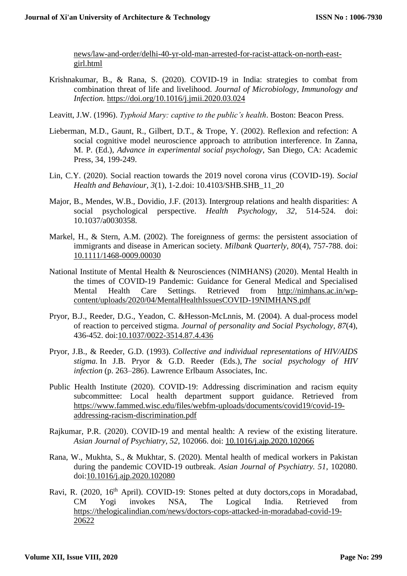[news/law-and-order/delhi-40-yr-old-man-arrested-for-racist-attack-on-north-east](https://www.republicworld.com/india-news/law-and-order/delhi-40-yr-old-man-arrested-for-racist-attack-on-north-east-girl.html)[girl.html](https://www.republicworld.com/india-news/law-and-order/delhi-40-yr-old-man-arrested-for-racist-attack-on-north-east-girl.html)

Krishnakumar, B., & Rana, S. (2020). COVID-19 in India: strategies to combat from combination threat of life and livelihood. *Journal of Microbiology, Immunology and Infection.* <https://doi.org/10.1016/j.jmii.2020.03.024>

Leavitt, J.W. (1996). *Typhoid Mary: captive to the public's health*. Boston: Beacon Press.

- Lieberman, M.D., Gaunt, R., Gilbert, D.T., & Trope, Y. (2002). Reflexion and refection: A social cognitive model neuroscience approach to attribution interference. In Zanna, M. P. (Ed.), *Advance in experimental social psychology*, San Diego, CA: Academic Press, 34, 199-249.
- Lin, C.Y. (2020). Social reaction towards the 2019 novel corona virus (COVID-19). *Social Health and Behaviour, 3*(1), 1-2.doi: 10.4103/SHB.SHB\_11\_20
- Major, B., Mendes, W.B., Dovidio, J.F. (2013). Intergroup relations and health disparities: A social psychological perspective. *Health Psychology, 32*, 514-524. doi: 10.1037/a0030358.
- Markel, H., & Stern, A.M. (2002). The foreignness of germs: the persistent association of immigrants and disease in American society. *Milbank Quarterly, 80*(4), 757-788. doi: [10.1111/1468-0009.00030](https://doi.org/10.1111/1468-0009.00030)
- National Institute of Mental Health & Neurosciences (NIMHANS) (2020). Mental Health in the times of COVID-19 Pandemic: Guidance for General Medical and Specialised Mental Health Care Settings. Retrieved from [http://nimhans.ac.in/wp](http://nimhans.ac.in/wp-content/uploads/2020/04/MentalHealthIssuesCOVID-19NIMHANS.pdf)[content/uploads/2020/04/MentalHealthIssuesCOVID-19NIMHANS.pdf](http://nimhans.ac.in/wp-content/uploads/2020/04/MentalHealthIssuesCOVID-19NIMHANS.pdf)
- Pryor, B.J., Reeder, D.G., Yeadon, C. &Hesson-McLnnis, M. (2004). A dual-process model of reaction to perceived stigma. *Journal of personality and Social Psychology, 87*(4), 436-452. doi[:10.1037/0022-3514.87.4.436](https://doi.org/10.1037/0022-3514.87.4.436)
- Pryor, J.B., & Reeder, G.D. (1993). *Collective and individual representations of HIV/AIDS stigma.* In J.B. Pryor & G.D. Reeder (Eds.), *The social psychology of HIV infection* (p. 263–286). Lawrence Erlbaum Associates, Inc.
- Public Health Institute (2020). COVID-19: Addressing discrimination and racism equity subcommittee: Local health department support guidance. Retrieved from [https://www.fammed.wisc.edu/files/webfm-uploads/documents/covid19/covid-19](https://www.fammed.wisc.edu/files/webfm-uploads/documents/covid19/covid-19-addressing-racism-discrimination.pdf) [addressing-racism-discrimination.pdf](https://www.fammed.wisc.edu/files/webfm-uploads/documents/covid19/covid-19-addressing-racism-discrimination.pdf)
- Rajkumar, P.R. (2020). COVID-19 and mental health: A review of the existing literature. *Asian Journal of Psychiatry*, *52*, 102066. doi: [10.1016/j.ajp.2020.102066](https://dx.doi.org/10.1016%2Fj.ajp.2020.102066)
- Rana, W., Mukhta, S., & Mukhtar, S. (2020). Mental health of medical workers in Pakistan during the pandemic COVID-19 outbreak. *Asian Journal of Psychiatry. 51*, 102080. doi[:10.1016/j.ajp.2020.102080](https://doi.org/10.1016/j.ajp.2020.102080)
- Ravi, R. (2020, 16<sup>th</sup> April). COVID-19: Stones pelted at duty doctors,cops in Moradabad, CM Yogi invokes NSA, The Logical India. Retrieved from [https://thelogicalindian.com/news/doctors-cops-attacked-in-moradabad-covid-19-](https://thelogicalindian.com/news/doctors-cops-attacked-in-moradabad-covid-19-20622) [20622](https://thelogicalindian.com/news/doctors-cops-attacked-in-moradabad-covid-19-20622)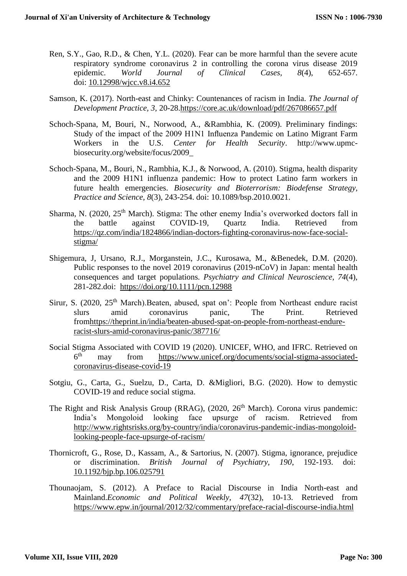- Ren, S.Y., Gao, R.D., & Chen, Y.L. (2020). Fear can be more harmful than the severe acute respiratory syndrome coronavirus 2 in controlling the corona virus disease 2019<br>epidemic. World Journal of Clinical Cases. 8(4). 652-657. epidemic. *World Journal of Clinical Cases, 8*(4), 652-657. doi: [10.12998/wjcc.v8.i4.652](https://dx.doi.org/10.12998%2Fwjcc.v8.i4.652)
- Samson, K. (2017). North-east and Chinky: Countenances of racism in India. *The Journal of Development Practice, 3,* 20-28[.https://core.ac.uk/download/pdf/267086657.pdf](https://core.ac.uk/download/pdf/267086657.pdf)
- Schoch-Spana, M, Bouri, N., Norwood, A., &Rambhia, K. (2009). Preliminary findings: Study of the impact of the 2009 H1N1 Influenza Pandemic on Latino Migrant Farm Workers in the U.S. *Center for Health Security*. http://www.upmcbiosecurity.org/website/focus/2009\_
- Schoch-Spana, M., Bouri, N., Rambhia, K.J., & Norwood, A. (2010). Stigma, health disparity and the 2009 H1N1 influenza pandemic: How to protect Latino farm workers in future health emergencies. *Biosecurity and Bioterrorism: Biodefense Strategy, Practice and Science, 8*(3), 243-254. doi: 10.1089/bsp.2010.0021.
- Sharma, N. (2020,  $25<sup>th</sup>$  March). Stigma: The other enemy India's overworked doctors fall in the battle against COVID-19, Quartz India. Retrieved from [https://qz.com/india/1824866/indian-doctors-fighting-coronavirus-now-face-social](https://qz.com/india/1824866/indian-doctors-fighting-coronavirus-now-face-social-stigma/)[stigma/](https://qz.com/india/1824866/indian-doctors-fighting-coronavirus-now-face-social-stigma/)
- Shigemura, J, Ursano, R.J., Morganstein, J.C., Kurosawa, M., &Benedek, D.M. (2020). Public responses to the novel 2019 coronavirus (2019-nCoV) in Japan: mental health consequences and target populations*. Psychiatry and Clinical Neuroscience*, *74*(4), 281-282.doi: <https://doi.org/10.1111/pcn.12988>
- Sirur, S. (2020, 25<sup>th</sup> March).Beaten, abused, spat on': People from Northeast endure racist slurs amid coronavirus panic, The Print. Retrieved fro[mhttps://theprint.in/india/beaten-abused-spat-on-people-from-northeast-endure](https://theprint.in/india/beaten-abused-spat-on-people-from-northeast-endure-racist-slurs-amid-coronavirus-panic/387716/)[racist-slurs-amid-coronavirus-panic/387716/](https://theprint.in/india/beaten-abused-spat-on-people-from-northeast-endure-racist-slurs-amid-coronavirus-panic/387716/)
- Social Stigma Associated with COVID 19 (2020). UNICEF, WHO, and IFRC. Retrieved on  $6<sup>th</sup>$ may from [https://www.unicef.org/documents/social-stigma-associated](https://www.unicef.org/documents/social-stigma-associated-coronavirus-disease-covid-19)[coronavirus-disease-covid-19](https://www.unicef.org/documents/social-stigma-associated-coronavirus-disease-covid-19)
- Sotgiu, G., Carta, G., Suelzu, D., Carta, D. &Migliori, B.G. (2020). How to demystic COVID-19 and reduce social stigma.
- The Right and Risk Analysis Group (RRAG),  $(2020, 26<sup>th</sup> March)$ . Corona virus pandemic: India's Mongoloid looking face upsurge of racism. Retrieved from [http://www.rightsrisks.org/by-country/india/coronavirus-pandemic-indias-mongoloid](http://www.rightsrisks.org/by-country/india/coronavirus-pandemic-indias-mongoloid-looking-people-face-upsurge-of-racism/)[looking-people-face-upsurge-of-racism/](http://www.rightsrisks.org/by-country/india/coronavirus-pandemic-indias-mongoloid-looking-people-face-upsurge-of-racism/)
- Thornicroft, G., Rose, D., Kassam, A., & Sartorius, N. (2007). Stigma, ignorance, prejudice or discrimination. *British Journal of Psychiatry, 190*, 192-193. doi: [10.1192/bjp.bp.106.025791](https://doi.org/10.1192/bjp.bp.106.025791)
- Thounaojam, S. (2012). A Preface to Racial Discourse in India North-east and Mainland.*Economic and Political Weekly, 47*(32), 10-13. Retrieved from <https://www.epw.in/journal/2012/32/commentary/preface-racial-discourse-india.html>